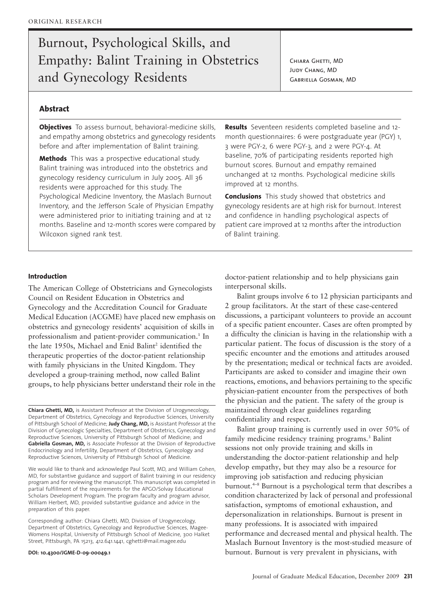# Burnout, Psychological Skills, and Empathy: Balint Training in Obstetrics and Gynecology Residents

Chiara Ghetti, MD Judy Chang, MD Gabriella Gosman, MD

## Abstract

**Objectives** To assess burnout, behavioral-medicine skills, and empathy among obstetrics and gynecology residents before and after implementation of Balint training.

Methods This was a prospective educational study. Balint training was introduced into the obstetrics and gynecology residency curriculum in July 2005. All 36 residents were approached for this study. The Psychological Medicine Inventory, the Maslach Burnout Inventory, and the Jefferson Scale of Physician Empathy were administered prior to initiating training and at 12 months. Baseline and 12-month scores were compared by Wilcoxon signed rank test.

Results Seventeen residents completed baseline and 12month questionnaires: 6 were postgraduate year (PGY) 1, 3 were PGY-2, 6 were PGY-3, and 2 were PGY-4. At baseline, 70% of participating residents reported high burnout scores. Burnout and empathy remained unchanged at 12 months. Psychological medicine skills improved at 12 months.

**Conclusions** This study showed that obstetrics and gynecology residents are at high risk for burnout. Interest and confidence in handling psychological aspects of patient care improved at 12 months after the introduction of Balint training.

## Introduction

The American College of Obstetricians and Gynecologists Council on Resident Education in Obstetrics and Gynecology and the Accreditation Council for Graduate Medical Education (ACGME) have placed new emphasis on obstetrics and gynecology residents' acquisition of skills in professionalism and patient-provider communication.<sup>1</sup> In the late 1950s, Michael and Enid Balint<sup>2</sup> identified the therapeutic properties of the doctor-patient relationship with family physicians in the United Kingdom. They developed a group-training method, now called Balint groups, to help physicians better understand their role in the

Chiara Ghetti, MD, is Assistant Professor at the Division of Urogynecology, Department of Obstetrics, Gynecology and Reproductive Sciences, University of Pittsburgh School of Medicine; Judy Chang, MD, is Assistant Professor at the Division of Gynecologic Specialties, Department of Obstetrics, Gynecology and Reproductive Sciences, University of Pittsburgh School of Medicine; and Gabriella Gosman, MD, is Associate Professor at the Division of Reproductive Endocrinology and Infertility, Department of Obstetrics, Gynecology and Reproductive Sciences, University of Pittsburgh School of Medicine.

We would like to thank and acknowledge Paul Scott, MD, and William Cohen, MD, for substantive guidance and support of Balint training in our residency program and for reviewing the manuscript. This manuscript was completed in partial fulfillment of the requirements for the APGO/Solvay Educational Scholars Development Program. The program faculty and program advisor, William Herbert, MD, provided substantive guidance and advice in the preparation of this paper.

Corresponding author: Chiara Ghetti, MD, Division of Urogynecology, Department of Obstetrics, Gynecology and Reproductive Sciences, Magee-Womens Hospital, University of Pittsburgh School of Medicine, 300 Halket Street, Pittsburgh, PA 15213, 412.641.1441, cghetti@mail.magee.edu

DOI: 10.4300/JGME-D-09-00049.1

doctor-patient relationship and to help physicians gain interpersonal skills.

Balint groups involve 6 to 12 physician participants and 2 group facilitators. At the start of these case-centered discussions, a participant volunteers to provide an account of a specific patient encounter. Cases are often prompted by a difficulty the clinician is having in the relationship with a particular patient. The focus of discussion is the story of a specific encounter and the emotions and attitudes aroused by the presentation; medical or technical facts are avoided. Participants are asked to consider and imagine their own reactions, emotions, and behaviors pertaining to the specific physician-patient encounter from the perspectives of both the physician and the patient. The safety of the group is maintained through clear guidelines regarding confidentiality and respect.

Balint group training is currently used in over 50% of family medicine residency training programs.3 Balint sessions not only provide training and skills in understanding the doctor-patient relationship and help develop empathy, but they may also be a resource for improving job satisfaction and reducing physician burnout.<sup>4–8</sup> Burnout is a psychological term that describes a condition characterized by lack of personal and professional satisfaction, symptoms of emotional exhaustion, and depersonalization in relationships. Burnout is present in many professions. It is associated with impaired performance and decreased mental and physical health. The Maslach Burnout Inventory is the most-studied measure of burnout. Burnout is very prevalent in physicians, with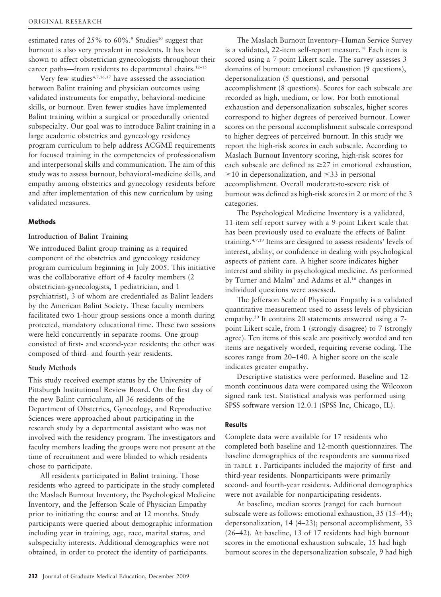estimated rates of  $25\%$  to  $60\%$ .<sup>9</sup> Studies<sup>10</sup> suggest that burnout is also very prevalent in residents. It has been shown to affect obstetrician-gynecologists throughout their career paths—from residents to departmental chairs.<sup>12-15</sup>

Very few studies<sup>4,7,16,17</sup> have assessed the association between Balint training and physician outcomes using validated instruments for empathy, behavioral-medicine skills, or burnout. Even fewer studies have implemented Balint training within a surgical or procedurally oriented subspecialty. Our goal was to introduce Balint training in a large academic obstetrics and gynecology residency program curriculum to help address ACGME requirements for focused training in the competencies of professionalism and interpersonal skills and communication. The aim of this study was to assess burnout, behavioral-medicine skills, and empathy among obstetrics and gynecology residents before and after implementation of this new curriculum by using validated measures.

## **Methods**

## Introduction of Balint Training

We introduced Balint group training as a required component of the obstetrics and gynecology residency program curriculum beginning in July 2005. This initiative was the collaborative effort of 4 faculty members (2 obstetrician-gynecologists, 1 pediatrician, and 1 psychiatrist), 3 of whom are credentialed as Balint leaders by the American Balint Society. These faculty members facilitated two 1-hour group sessions once a month during protected, mandatory educational time. These two sessions were held concurrently in separate rooms. One group consisted of first- and second-year residents; the other was composed of third- and fourth-year residents.

#### Study Methods

This study received exempt status by the University of Pittsburgh Institutional Review Board. On the first day of the new Balint curriculum, all 36 residents of the Department of Obstetrics, Gynecology, and Reproductive Sciences were approached about participating in the research study by a departmental assistant who was not involved with the residency program. The investigators and faculty members leading the groups were not present at the time of recruitment and were blinded to which residents chose to participate.

All residents participated in Balint training. Those residents who agreed to participate in the study completed the Maslach Burnout Inventory, the Psychological Medicine Inventory, and the Jefferson Scale of Physician Empathy prior to initiating the course and at 12 months. Study participants were queried about demographic information including year in training, age, race, marital status, and subspecialty interests. Additional demographics were not obtained, in order to protect the identity of participants.

The Maslach Burnout Inventory–Human Service Survey is a validated, 22-item self-report measure.<sup>18</sup> Each item is scored using a 7-point Likert scale. The survey assesses 3 domains of burnout: emotional exhaustion (9 questions), depersonalization (5 questions), and personal accomplishment (8 questions). Scores for each subscale are recorded as high, medium, or low. For both emotional exhaustion and depersonalization subscales, higher scores correspond to higher degrees of perceived burnout. Lower scores on the personal accomplishment subscale correspond to higher degrees of perceived burnout. In this study we report the high-risk scores in each subscale. According to Maslach Burnout Inventory scoring, high-risk scores for each subscale are defined as  $\geq$ 27 in emotional exhaustion,  $\geq$ 10 in depersonalization, and  $\leq$ 33 in personal accomplishment. Overall moderate-to-severe risk of burnout was defined as high-risk scores in 2 or more of the 3 categories.

The Psychological Medicine Inventory is a validated, 11-item self-report survey with a 9-point Likert scale that has been previously used to evaluate the effects of Balint training.4,7,19 Items are designed to assess residents' levels of interest, ability, or confidence in dealing with psychological aspects of patient care. A higher score indicates higher interest and ability in psychological medicine. As performed by Turner and Malm<sup>4</sup> and Adams et al.<sup>16</sup> changes in individual questions were assessed.

The Jefferson Scale of Physician Empathy is a validated quantitative measurement used to assess levels of physician empathy.20 It contains 20 statements answered using a 7 point Likert scale, from 1 (strongly disagree) to 7 (strongly agree). Ten items of this scale are positively worded and ten items are negatively worded, requiring reverse coding. The scores range from 20–140. A higher score on the scale indicates greater empathy.

Descriptive statistics were performed. Baseline and 12 month continuous data were compared using the Wilcoxon signed rank test. Statistical analysis was performed using SPSS software version 12.0.1 (SPSS Inc, Chicago, IL).

## Results

Complete data were available for 17 residents who completed both baseline and 12-month questionnaires. The baseline demographics of the respondents are summarized in TABLE 1. Participants included the majority of first- and third-year residents. Nonparticipants were primarily second- and fourth-year residents. Additional demographics were not available for nonparticipating residents.

At baseline, median scores (range) for each burnout subscale were as follows: emotional exhaustion, 35 (15–44); depersonalization, 14 (4–23); personal accomplishment, 33 (26–42). At baseline, 13 of 17 residents had high burnout scores in the emotional exhaustion subscale, 15 had high burnout scores in the depersonalization subscale, 9 had high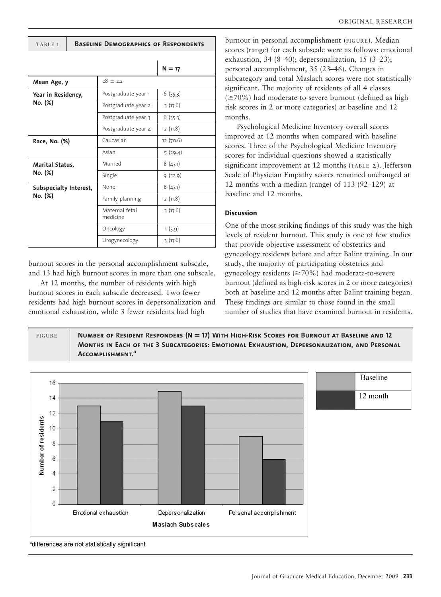|  | ORIGINAL RESEARCH |
|--|-------------------|
|--|-------------------|

| TABLE 1 | <b>BASELINE DEMOGRAPHICS OF RESPONDENTS</b> |  |
|---------|---------------------------------------------|--|
|         |                                             |  |

|                                   |                            | $N = 17$ |
|-----------------------------------|----------------------------|----------|
| Mean Age, y                       | $28 \pm 2.2$               |          |
| Year in Residency,<br>No. (%)     | Postgraduate year 1        | 6(35.3)  |
|                                   | Postgraduate year 2        | 3(17.6)  |
|                                   | Postgraduate year 3        | 6(35.3)  |
|                                   | Postgraduate year 4        | 2(11.8)  |
| Race, No. (%)                     | Caucasian                  | 12(70.6) |
|                                   | Asian                      | 5(29.4)  |
| Marital Status,<br>No. (%)        | Married                    | 8(47.1)  |
|                                   | Single                     | 9(52.9)  |
| Subspecialty Interest,<br>No. (%) | None                       | 8(47.1)  |
|                                   | Family planning            | 2(11.8)  |
|                                   | Maternal fetal<br>medicine | 3(17.6)  |
|                                   | Oncology                   | 1(5.9)   |
|                                   | Urogynecology              | 3(17.6)  |

burnout scores in the personal accomplishment subscale, and 13 had high burnout scores in more than one subscale.

At 12 months, the number of residents with high burnout scores in each subscale decreased. Two fewer residents had high burnout scores in depersonalization and emotional exhaustion, while 3 fewer residents had high

burnout in personal accomplishment (FIGURE). Median scores (range) for each subscale were as follows: emotional exhaustion, 34 (8–40); depersonalization, 15 (3–23); personal accomplishment, 35 (23–46). Changes in subcategory and total Maslach scores were not statistically significant. The majority of residents of all 4 classes  $(\geq 70\%)$  had moderate-to-severe burnout (defined as highrisk scores in 2 or more categories) at baseline and 12 months.

Psychological Medicine Inventory overall scores improved at 12 months when compared with baseline scores. Three of the Psychological Medicine Inventory scores for individual questions showed a statistically significant improvement at 12 months (TABLE 2). Jefferson Scale of Physician Empathy scores remained unchanged at 12 months with a median (range) of 113 (92–129) at baseline and 12 months.

## Discussion

One of the most striking findings of this study was the high levels of resident burnout. This study is one of few studies that provide objective assessment of obstetrics and gynecology residents before and after Balint training. In our study, the majority of participating obstetrics and gynecology residents  $(\geq 70\%)$  had moderate-to-severe burnout (defined as high-risk scores in 2 or more categories) both at baseline and 12 months after Balint training began. These findings are similar to those found in the small number of studies that have examined burnout in residents.



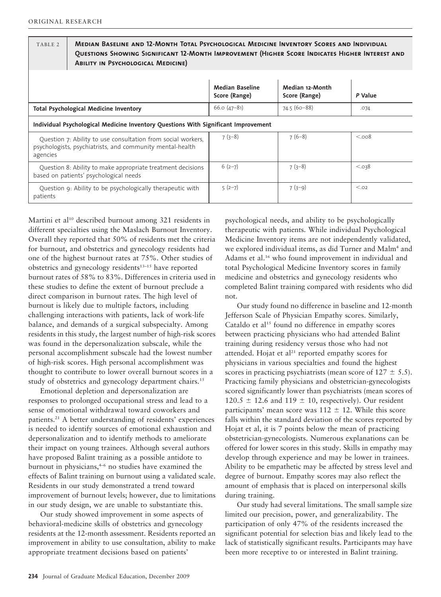# TABLE 2 Median Baseline and 12-Month Total Psychological Medicine Inventory Scores and Individual Questions Showing Significant 12-Month Improvement (Higher Score Indicates Higher Interest and Ability in Psychological Medicine)

|                                                                                                                                       | <b>Median Baseline</b><br>Score (Range) | Median 12-Month<br>Score (Range) | P Value  |  |  |  |
|---------------------------------------------------------------------------------------------------------------------------------------|-----------------------------------------|----------------------------------|----------|--|--|--|
| <b>Total Psychological Medicine Inventory</b>                                                                                         | $66.0 (47 - 81)$                        | 74.5 (60-88)                     | .074     |  |  |  |
| Individual Psychological Medicine Inventory Questions With Significant Improvement                                                    |                                         |                                  |          |  |  |  |
| Question 7: Ability to use consultation from social workers,<br>psychologists, psychiatrists, and community mental-health<br>agencies | $7(3-8)$                                | $7(6-8)$                         | $<$ .008 |  |  |  |
| Question 8: Ability to make appropriate treatment decisions<br>based on patients' psychological needs                                 | $6(2-7)$                                | $7(3-8)$                         | $<$ .038 |  |  |  |
| Question 9: Ability to be psychologically therapeutic with<br>patients                                                                | $5(2-7)$                                | $7(3-9)$                         | $<$ .02  |  |  |  |

Martini et al<sup>10</sup> described burnout among 321 residents in different specialties using the Maslach Burnout Inventory. Overall they reported that 50% of residents met the criteria for burnout, and obstetrics and gynecology residents had one of the highest burnout rates at 75%. Other studies of obstetrics and gynecology residents $13-15$  have reported burnout rates of 58% to 83%. Differences in criteria used in these studies to define the extent of burnout preclude a direct comparison in burnout rates. The high level of burnout is likely due to multiple factors, including challenging interactions with patients, lack of work-life balance, and demands of a surgical subspecialty. Among residents in this study, the largest number of high-risk scores was found in the depersonalization subscale, while the personal accomplishment subscale had the lowest number of high-risk scores. High personal accomplishment was thought to contribute to lower overall burnout scores in a study of obstetrics and gynecology department chairs.<sup>15</sup>

Emotional depletion and depersonalization are responses to prolonged occupational stress and lead to a sense of emotional withdrawal toward coworkers and patients.21 A better understanding of residents' experiences is needed to identify sources of emotional exhaustion and depersonalization and to identify methods to ameliorate their impact on young trainees. Although several authors have proposed Balint training as a possible antidote to burnout in physicians, $4-6$  no studies have examined the effects of Balint training on burnout using a validated scale. Residents in our study demonstrated a trend toward improvement of burnout levels; however, due to limitations in our study design, we are unable to substantiate this.

Our study showed improvement in some aspects of behavioral-medicine skills of obstetrics and gynecology residents at the 12-month assessment. Residents reported an improvement in ability to use consultation, ability to make appropriate treatment decisions based on patients'

psychological needs, and ability to be psychologically therapeutic with patients. While individual Psychological Medicine Inventory items are not independently validated, we explored individual items, as did Turner and Malm<sup>4</sup> and Adams et al.16 who found improvement in individual and total Psychological Medicine Inventory scores in family medicine and obstetrics and gynecology residents who completed Balint training compared with residents who did not.

Our study found no difference in baseline and 12-month Jefferson Scale of Physician Empathy scores. Similarly, Cataldo et al<sup>15</sup> found no difference in empathy scores between practicing physicians who had attended Balint training during residency versus those who had not attended. Hojat et al<sup>21</sup> reported empathy scores for physicians in various specialties and found the highest scores in practicing psychiatrists (mean score of  $127 \pm 5.5$ ). Practicing family physicians and obstetrician-gynecologists scored significantly lower than psychiatrists (mean scores of 120.5  $\pm$  12.6 and 119  $\pm$  10, respectively). Our resident participants' mean score was  $112 \pm 12$ . While this score falls within the standard deviation of the scores reported by Hojat et al, it is 7 points below the mean of practicing obstetrician-gynecologists. Numerous explanations can be offered for lower scores in this study. Skills in empathy may develop through experience and may be lower in trainees. Ability to be empathetic may be affected by stress level and degree of burnout. Empathy scores may also reflect the amount of emphasis that is placed on interpersonal skills during training.

Our study had several limitations. The small sample size limited our precision, power, and generalizability. The participation of only 47% of the residents increased the significant potential for selection bias and likely lead to the lack of statistically significant results. Participants may have been more receptive to or interested in Balint training.